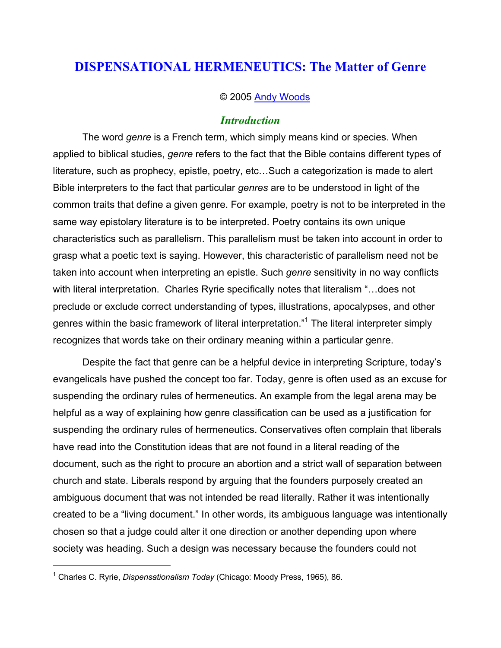# **DISPENSATIONAL HERMENEUTICS: The Matter of Genre**

#### © 2005 Andy Woods

#### *Introduction*

The word *genre* is a French term, which simply means kind or species. When applied to biblical studies, *genre* refers to the fact that the Bible contains different types of literature, such as prophecy, epistle, poetry, etc…Such a categorization is made to alert Bible interpreters to the fact that particular *genres* are to be understood in light of the common traits that define a given genre. For example, poetry is not to be interpreted in the same way epistolary literature is to be interpreted. Poetry contains its own unique characteristics such as parallelism. This parallelism must be taken into account in order to grasp what a poetic text is saying. However, this characteristic of parallelism need not be taken into account when interpreting an epistle. Such *genre* sensitivity in no way conflicts with literal interpretation. Charles Ryrie specifically notes that literalism "…does not preclude or exclude correct understanding of types, illustrations, apocalypses, and other genres within the basic framework of literal interpretation."<sup>1</sup> The literal interpreter simply recognizes that words take on their ordinary meaning within a particular genre.

Despite the fact that genre can be a helpful device in interpreting Scripture, today's evangelicals have pushed the concept too far. Today, genre is often used as an excuse for suspending the ordinary rules of hermeneutics. An example from the legal arena may be helpful as a way of explaining how genre classification can be used as a justification for suspending the ordinary rules of hermeneutics. Conservatives often complain that liberals have read into the Constitution ideas that are not found in a literal reading of the document, such as the right to procure an abortion and a strict wall of separation between church and state. Liberals respond by arguing that the founders purposely created an ambiguous document that was not intended be read literally. Rather it was intentionally created to be a "living document." In other words, its ambiguous language was intentionally chosen so that a judge could alter it one direction or another depending upon where society was heading. Such a design was necessary because the founders could not

<sup>1</sup> Charles C. Ryrie, *Dispensationalism Today* (Chicago: Moody Press, 1965), 86.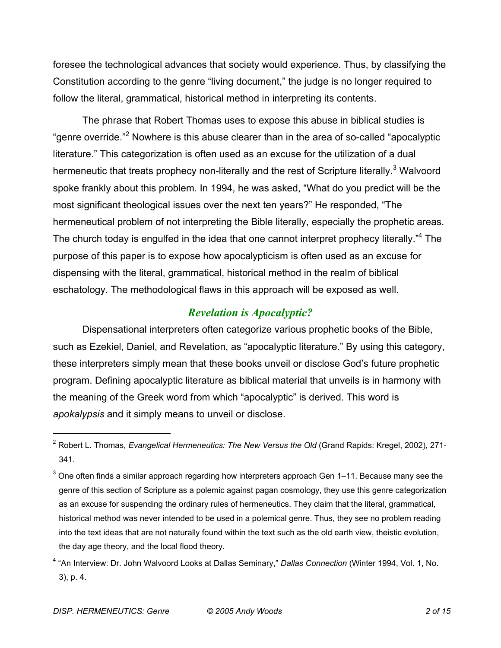foresee the technological advances that society would experience. Thus, by classifying the Constitution according to the genre "living document," the judge is no longer required to follow the literal, grammatical, historical method in interpreting its contents.

The phrase that Robert Thomas uses to expose this abuse in biblical studies is "genre override."<sup>2</sup> Nowhere is this abuse clearer than in the area of so-called "apocalyptic literature." This categorization is often used as an excuse for the utilization of a dual hermeneutic that treats prophecy non-literally and the rest of Scripture literally.<sup>3</sup> Walvoord spoke frankly about this problem. In 1994, he was asked, "What do you predict will be the most significant theological issues over the next ten years?" He responded, "The hermeneutical problem of not interpreting the Bible literally, especially the prophetic areas. The church today is engulfed in the idea that one cannot interpret prophecy literally."<sup>4</sup> The purpose of this paper is to expose how apocalypticism is often used as an excuse for dispensing with the literal, grammatical, historical method in the realm of biblical eschatology. The methodological flaws in this approach will be exposed as well.

### *Revelation is Apocalyptic?*

Dispensational interpreters often categorize various prophetic books of the Bible, such as Ezekiel, Daniel, and Revelation, as "apocalyptic literature." By using this category, these interpreters simply mean that these books unveil or disclose God's future prophetic program. Defining apocalyptic literature as biblical material that unveils is in harmony with the meaning of the Greek word from which "apocalyptic" is derived. This word is *apokalypsis* and it simply means to unveil or disclose.

<sup>2</sup> Robert L. Thomas, *Evangelical Hermeneutics: The New Versus the Old* (Grand Rapids: Kregel, 2002), 271- 341.

 $3$  One often finds a similar approach regarding how interpreters approach Gen 1–11. Because many see the genre of this section of Scripture as a polemic against pagan cosmology, they use this genre categorization as an excuse for suspending the ordinary rules of hermeneutics. They claim that the literal, grammatical, historical method was never intended to be used in a polemical genre. Thus, they see no problem reading into the text ideas that are not naturally found within the text such as the old earth view, theistic evolution, the day age theory, and the local flood theory.

<sup>4</sup> "An Interview: Dr. John Walvoord Looks at Dallas Seminary," *Dallas Connection* (Winter 1994, Vol. 1, No. 3), p. 4.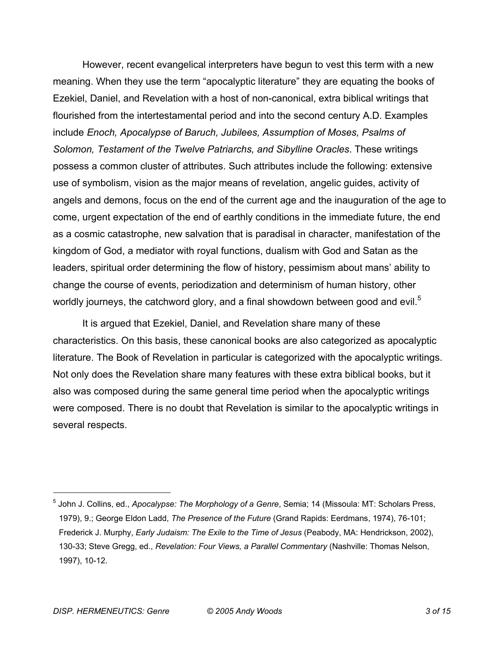However, recent evangelical interpreters have begun to vest this term with a new meaning. When they use the term "apocalyptic literature" they are equating the books of Ezekiel, Daniel, and Revelation with a host of non-canonical, extra biblical writings that flourished from the intertestamental period and into the second century A.D. Examples include *Enoch, Apocalypse of Baruch, Jubilees, Assumption of Moses, Psalms of Solomon, Testament of the Twelve Patriarchs, and Sibylline Oracles*. These writings possess a common cluster of attributes. Such attributes include the following: extensive use of symbolism, vision as the major means of revelation, angelic guides, activity of angels and demons, focus on the end of the current age and the inauguration of the age to come, urgent expectation of the end of earthly conditions in the immediate future, the end as a cosmic catastrophe, new salvation that is paradisal in character, manifestation of the kingdom of God, a mediator with royal functions, dualism with God and Satan as the leaders, spiritual order determining the flow of history, pessimism about mans' ability to change the course of events, periodization and determinism of human history, other worldly journeys, the catchword glory, and a final showdown between good and evil.<sup>5</sup>

It is argued that Ezekiel, Daniel, and Revelation share many of these characteristics. On this basis, these canonical books are also categorized as apocalyptic literature. The Book of Revelation in particular is categorized with the apocalyptic writings. Not only does the Revelation share many features with these extra biblical books, but it also was composed during the same general time period when the apocalyptic writings were composed. There is no doubt that Revelation is similar to the apocalyptic writings in several respects.

<sup>5</sup> John J. Collins, ed., *Apocalypse: The Morphology of a Genre*, Semia; 14 (Missoula: MT: Scholars Press, 1979), 9.; George Eldon Ladd, *The Presence of the Future* (Grand Rapids: Eerdmans, 1974), 76-101; Frederick J. Murphy, *Early Judaism: The Exile to the Time of Jesus* (Peabody, MA: Hendrickson, 2002), 130-33; Steve Gregg, ed., *Revelation: Four Views, a Parallel Commentary* (Nashville: Thomas Nelson, 1997), 10-12.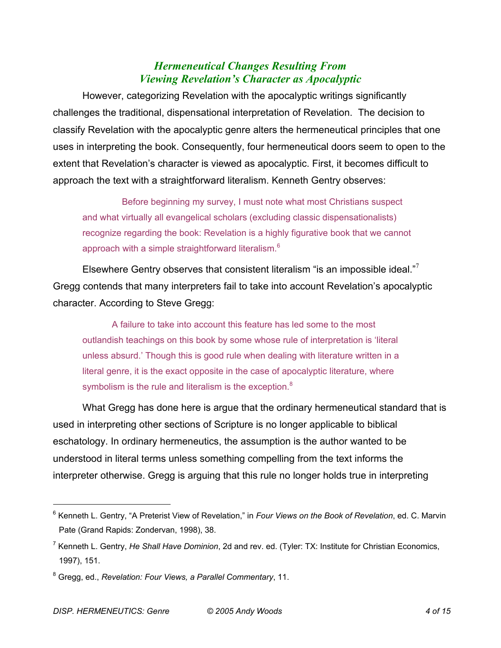## *Hermeneutical Changes Resulting From Viewing Revelation's Character as Apocalyptic*

However, categorizing Revelation with the apocalyptic writings significantly challenges the traditional, dispensational interpretation of Revelation. The decision to classify Revelation with the apocalyptic genre alters the hermeneutical principles that one uses in interpreting the book. Consequently, four hermeneutical doors seem to open to the extent that Revelation's character is viewed as apocalyptic. First, it becomes difficult to approach the text with a straightforward literalism. Kenneth Gentry observes:

 Before beginning my survey, I must note what most Christians suspect and what virtually all evangelical scholars (excluding classic dispensationalists) recognize regarding the book: Revelation is a highly figurative book that we cannot approach with a simple straightforward literalism.<sup>6</sup>

Elsewhere Gentry observes that consistent literalism "is an impossible ideal."<sup>7</sup> Gregg contends that many interpreters fail to take into account Revelation's apocalyptic character. According to Steve Gregg:

A failure to take into account this feature has led some to the most outlandish teachings on this book by some whose rule of interpretation is 'literal unless absurd.' Though this is good rule when dealing with literature written in a literal genre, it is the exact opposite in the case of apocalyptic literature, where symbolism is the rule and literalism is the exception. $8$ 

What Gregg has done here is argue that the ordinary hermeneutical standard that is used in interpreting other sections of Scripture is no longer applicable to biblical eschatology. In ordinary hermeneutics, the assumption is the author wanted to be understood in literal terms unless something compelling from the text informs the interpreter otherwise. Gregg is arguing that this rule no longer holds true in interpreting

<sup>6</sup> Kenneth L. Gentry, "A Preterist View of Revelation," in *Four Views on the Book of Revelation*, ed. C. Marvin Pate (Grand Rapids: Zondervan, 1998), 38.

<sup>7</sup> Kenneth L. Gentry, *He Shall Have Dominion*, 2d and rev. ed. (Tyler: TX: Institute for Christian Economics, 1997), 151.

<sup>8</sup> Gregg, ed., *Revelation: Four Views, a Parallel Commentary*, 11.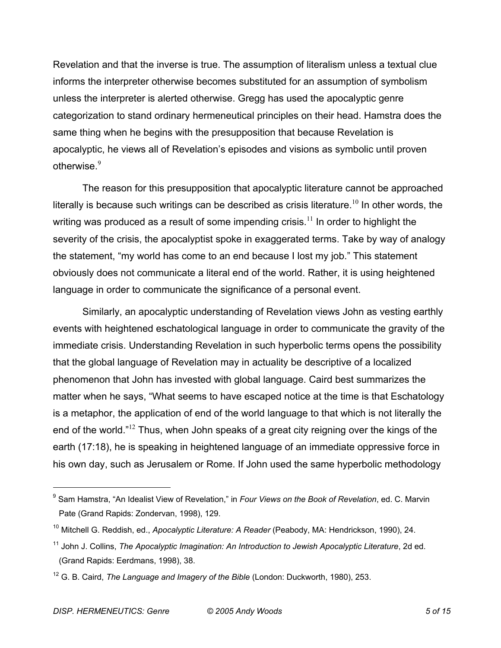Revelation and that the inverse is true. The assumption of literalism unless a textual clue informs the interpreter otherwise becomes substituted for an assumption of symbolism unless the interpreter is alerted otherwise. Gregg has used the apocalyptic genre categorization to stand ordinary hermeneutical principles on their head. Hamstra does the same thing when he begins with the presupposition that because Revelation is apocalyptic, he views all of Revelation's episodes and visions as symbolic until proven otherwise.<sup>9</sup>

The reason for this presupposition that apocalyptic literature cannot be approached literally is because such writings can be described as crisis literature.<sup>10</sup> In other words, the writing was produced as a result of some impending crisis.<sup>11</sup> In order to highlight the severity of the crisis, the apocalyptist spoke in exaggerated terms. Take by way of analogy the statement, "my world has come to an end because I lost my job." This statement obviously does not communicate a literal end of the world. Rather, it is using heightened language in order to communicate the significance of a personal event.

Similarly, an apocalyptic understanding of Revelation views John as vesting earthly events with heightened eschatological language in order to communicate the gravity of the immediate crisis. Understanding Revelation in such hyperbolic terms opens the possibility that the global language of Revelation may in actuality be descriptive of a localized phenomenon that John has invested with global language. Caird best summarizes the matter when he says, "What seems to have escaped notice at the time is that Eschatology is a metaphor, the application of end of the world language to that which is not literally the end of the world."<sup>12</sup> Thus, when John speaks of a great city reigning over the kings of the earth (17:18), he is speaking in heightened language of an immediate oppressive force in his own day, such as Jerusalem or Rome. If John used the same hyperbolic methodology

<sup>9</sup> Sam Hamstra, "An Idealist View of Revelation," in *Four Views on the Book of Revelation*, ed. C. Marvin Pate (Grand Rapids: Zondervan, 1998), 129.

<sup>10</sup> Mitchell G. Reddish, ed., *Apocalyptic Literature: A Reader* (Peabody, MA: Hendrickson, 1990), 24.

<sup>&</sup>lt;sup>11</sup> John J. Collins, *The Apocalyptic Imagination: An Introduction to Jewish Apocalyptic Literature*, 2d ed. (Grand Rapids: Eerdmans, 1998), 38.

<sup>12</sup> G. B. Caird, *The Language and Imagery of the Bible* (London: Duckworth, 1980), 253.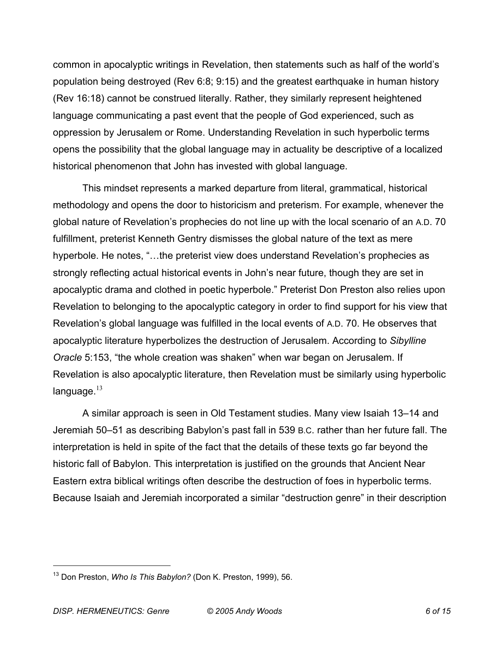common in apocalyptic writings in Revelation, then statements such as half of the world's population being destroyed (Rev 6:8; 9:15) and the greatest earthquake in human history (Rev 16:18) cannot be construed literally. Rather, they similarly represent heightened language communicating a past event that the people of God experienced, such as oppression by Jerusalem or Rome. Understanding Revelation in such hyperbolic terms opens the possibility that the global language may in actuality be descriptive of a localized historical phenomenon that John has invested with global language.

This mindset represents a marked departure from literal, grammatical, historical methodology and opens the door to historicism and preterism. For example, whenever the global nature of Revelation's prophecies do not line up with the local scenario of an A.D. 70 fulfillment, preterist Kenneth Gentry dismisses the global nature of the text as mere hyperbole. He notes, "... the preterist view does understand Revelation's prophecies as strongly reflecting actual historical events in John's near future, though they are set in apocalyptic drama and clothed in poetic hyperbole." Preterist Don Preston also relies upon Revelation to belonging to the apocalyptic category in order to find support for his view that Revelation's global language was fulfilled in the local events of A.D. 70. He observes that apocalyptic literature hyperbolizes the destruction of Jerusalem. According to *Sibylline Oracle* 5:153, "the whole creation was shaken" when war began on Jerusalem. If Revelation is also apocalyptic literature, then Revelation must be similarly using hyperbolic language. $13$ 

A similar approach is seen in Old Testament studies. Many view Isaiah 13–14 and Jeremiah 50–51 as describing Babylon's past fall in 539 B.C. rather than her future fall. The interpretation is held in spite of the fact that the details of these texts go far beyond the historic fall of Babylon. This interpretation is justified on the grounds that Ancient Near Eastern extra biblical writings often describe the destruction of foes in hyperbolic terms. Because Isaiah and Jeremiah incorporated a similar "destruction genre" in their description

<sup>13</sup> Don Preston, *Who Is This Babylon?* (Don K. Preston, 1999), 56.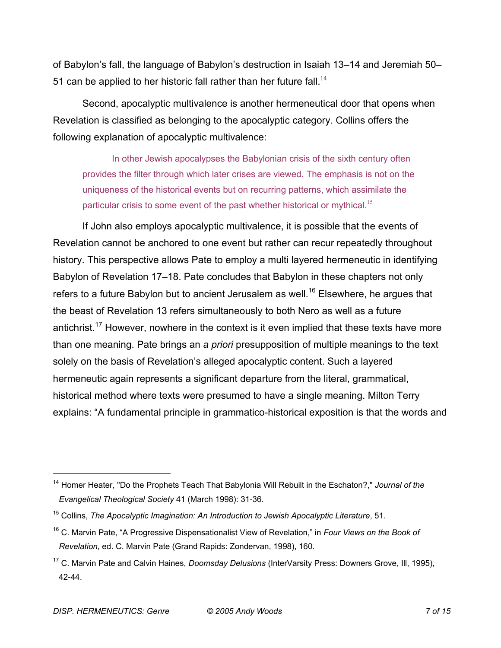of Babylon's fall, the language of Babylon's destruction in Isaiah 13–14 and Jeremiah 50– 51 can be applied to her historic fall rather than her future fall.<sup>14</sup>

Second, apocalyptic multivalence is another hermeneutical door that opens when Revelation is classified as belonging to the apocalyptic category. Collins offers the following explanation of apocalyptic multivalence:

In other Jewish apocalypses the Babylonian crisis of the sixth century often provides the filter through which later crises are viewed. The emphasis is not on the uniqueness of the historical events but on recurring patterns, which assimilate the particular crisis to some event of the past whether historical or mythical.<sup>15</sup>

If John also employs apocalyptic multivalence, it is possible that the events of Revelation cannot be anchored to one event but rather can recur repeatedly throughout history. This perspective allows Pate to employ a multi layered hermeneutic in identifying Babylon of Revelation 17–18. Pate concludes that Babylon in these chapters not only refers to a future Babylon but to ancient Jerusalem as well.<sup>16</sup> Elsewhere, he argues that the beast of Revelation 13 refers simultaneously to both Nero as well as a future antichrist.<sup>17</sup> However, nowhere in the context is it even implied that these texts have more than one meaning. Pate brings an *a priori* presupposition of multiple meanings to the text solely on the basis of Revelation's alleged apocalyptic content. Such a layered hermeneutic again represents a significant departure from the literal, grammatical, historical method where texts were presumed to have a single meaning. Milton Terry explains: "A fundamental principle in grammatico-historical exposition is that the words and

<sup>14</sup> Homer Heater, "Do the Prophets Teach That Babylonia Will Rebuilt in the Eschaton?," *Journal of the Evangelical Theological Society* 41 (March 1998): 31-36.

<sup>15</sup> Collins, *The Apocalyptic Imagination: An Introduction to Jewish Apocalyptic Literature*, 51.

<sup>16</sup> C. Marvin Pate, "A Progressive Dispensationalist View of Revelation," in *Four Views on the Book of Revelation*, ed. C. Marvin Pate (Grand Rapids: Zondervan, 1998), 160.

<sup>17</sup> C. Marvin Pate and Calvin Haines, *Doomsday Delusions* (InterVarsity Press: Downers Grove, Ill, 1995), 42-44.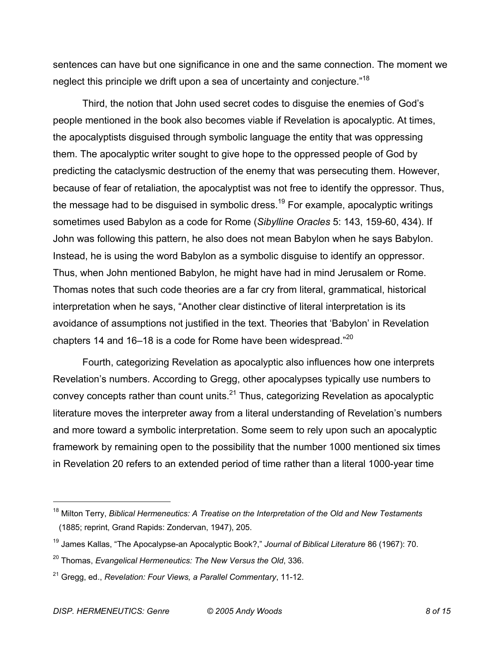sentences can have but one significance in one and the same connection. The moment we neglect this principle we drift upon a sea of uncertainty and conjecture."18

Third, the notion that John used secret codes to disguise the enemies of God's people mentioned in the book also becomes viable if Revelation is apocalyptic. At times, the apocalyptists disguised through symbolic language the entity that was oppressing them. The apocalyptic writer sought to give hope to the oppressed people of God by predicting the cataclysmic destruction of the enemy that was persecuting them. However, because of fear of retaliation, the apocalyptist was not free to identify the oppressor. Thus, the message had to be disguised in symbolic dress.<sup>19</sup> For example, apocalyptic writings sometimes used Babylon as a code for Rome (*Sibylline Oracles* 5: 143, 159-60, 434). If John was following this pattern, he also does not mean Babylon when he says Babylon. Instead, he is using the word Babylon as a symbolic disguise to identify an oppressor. Thus, when John mentioned Babylon, he might have had in mind Jerusalem or Rome. Thomas notes that such code theories are a far cry from literal, grammatical, historical interpretation when he says, "Another clear distinctive of literal interpretation is its avoidance of assumptions not justified in the text. Theories that 'Babylon' in Revelation chapters 14 and 16–18 is a code for Rome have been widespread." $^{20}$ 

Fourth, categorizing Revelation as apocalyptic also influences how one interprets Revelation's numbers. According to Gregg, other apocalypses typically use numbers to convey concepts rather than count units. $^{21}$  Thus, categorizing Revelation as apocalyptic literature moves the interpreter away from a literal understanding of Revelation's numbers and more toward a symbolic interpretation. Some seem to rely upon such an apocalyptic framework by remaining open to the possibility that the number 1000 mentioned six times in Revelation 20 refers to an extended period of time rather than a literal 1000-year time

<sup>18</sup> Milton Terry, *Biblical Hermeneutics: A Treatise on the Interpretation of the Old and New Testaments* (1885; reprint, Grand Rapids: Zondervan, 1947), 205.

<sup>19</sup> James Kallas, "The Apocalypse-an Apocalyptic Book?," *Journal of Biblical Literature* 86 (1967): 70.

<sup>20</sup> Thomas, *Evangelical Hermeneutics: The New Versus the Old*, 336.

<sup>21</sup> Gregg, ed., *Revelation: Four Views, a Parallel Commentary*, 11-12.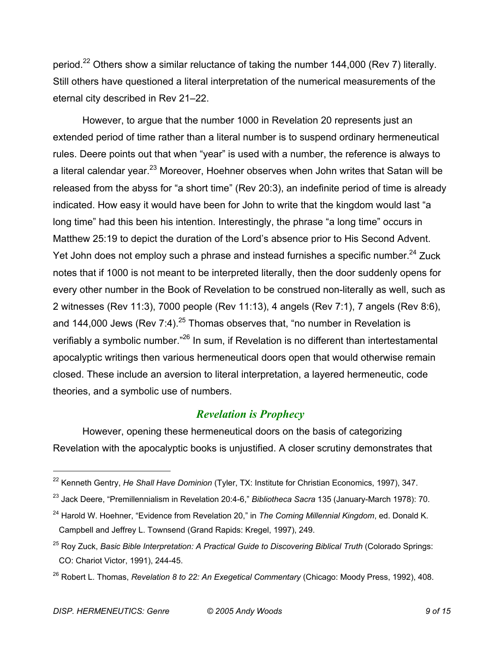period.<sup>22</sup> Others show a similar reluctance of taking the number 144,000 (Rev 7) literally. Still others have questioned a literal interpretation of the numerical measurements of the eternal city described in Rev 21–22.

However, to argue that the number 1000 in Revelation 20 represents just an extended period of time rather than a literal number is to suspend ordinary hermeneutical rules. Deere points out that when "year" is used with a number, the reference is always to a literal calendar year.<sup>23</sup> Moreover, Hoehner observes when John writes that Satan will be released from the abyss for "a short time" (Rev 20:3), an indefinite period of time is already indicated. How easy it would have been for John to write that the kingdom would last "a long time" had this been his intention. Interestingly, the phrase "a long time" occurs in Matthew 25:19 to depict the duration of the Lord's absence prior to His Second Advent. Yet John does not employ such a phrase and instead furnishes a specific number.<sup>24</sup> Zuck notes that if 1000 is not meant to be interpreted literally, then the door suddenly opens for every other number in the Book of Revelation to be construed non-literally as well, such as 2 witnesses (Rev 11:3), 7000 people (Rev 11:13), 4 angels (Rev 7:1), 7 angels (Rev 8:6), and 144,000 Jews (Rev 7:4).<sup>25</sup> Thomas observes that, "no number in Revelation is verifiably a symbolic number."<sup>26</sup> In sum, if Revelation is no different than intertestamental apocalyptic writings then various hermeneutical doors open that would otherwise remain closed. These include an aversion to literal interpretation, a layered hermeneutic, code theories, and a symbolic use of numbers.

#### *Revelation is Prophecy*

However, opening these hermeneutical doors on the basis of categorizing Revelation with the apocalyptic books is unjustified. A closer scrutiny demonstrates that

<sup>22</sup> Kenneth Gentry, *He Shall Have Dominion* (Tyler, TX: Institute for Christian Economics, 1997), 347.

<sup>23</sup> Jack Deere, "Premillennialism in Revelation 20:4-6," *Bibliotheca Sacra* 135 (January-March 1978): 70.

<sup>24</sup> Harold W. Hoehner, "Evidence from Revelation 20," in *The Coming Millennial Kingdom*, ed. Donald K. Campbell and Jeffrey L. Townsend (Grand Rapids: Kregel, 1997), 249.

<sup>25</sup> Roy Zuck, *Basic Bible Interpretation: A Practical Guide to Discovering Biblical Truth* (Colorado Springs: CO: Chariot Victor, 1991), 244-45.

<sup>26</sup> Robert L. Thomas, *Revelation 8 to 22: An Exegetical Commentary* (Chicago: Moody Press, 1992), 408.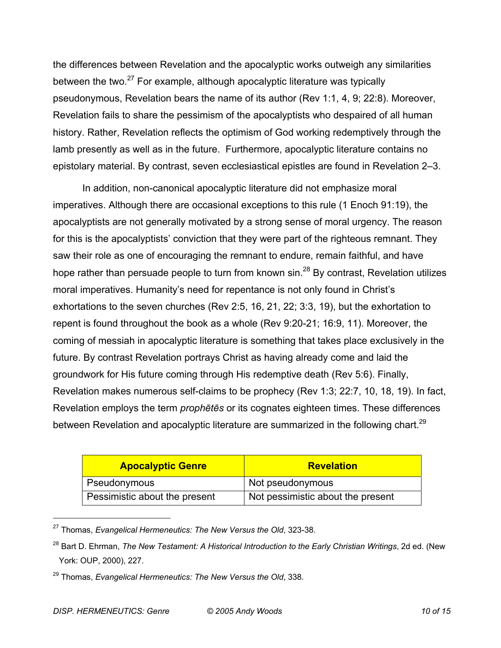the differences between Revelation and the apocalyptic works outweigh any similarities between the two. $27$  For example, although apocalyptic literature was typically pseudonymous, Revelation bears the name of its author (Rev 1:1, 4, 9; 22:8). Moreover, Revelation fails to share the pessimism of the apocalyptists who despaired of all human history. Rather, Revelation reflects the optimism of God working redemptively through the lamb presently as well as in the future. Furthermore, apocalyptic literature contains no epistolary material. By contrast, seven ecclesiastical epistles are found in Revelation 2–3.

In addition, non-canonical apocalyptic literature did not emphasize moral imperatives. Although there are occasional exceptions to this rule (1 Enoch 91:19), the apocalyptists are not generally motivated by a strong sense of moral urgency. The reason for this is the apocalyptists' conviction that they were part of the righteous remnant. They saw their role as one of encouraging the remnant to endure, remain faithful, and have hope rather than persuade people to turn from known  $sin^{28}$  By contrast, Revelation utilizes moral imperatives. Humanity's need for repentance is not only found in Christ's exhortations to the seven churches (Rev 2:5, 16, 21, 22; 3:3, 19), but the exhortation to repent is found throughout the book as a whole (Rev 9:20-21; 16:9, 11). Moreover, the coming of messiah in apocalyptic literature is something that takes place exclusively in the future. By contrast Revelation portrays Christ as having already come and laid the groundwork for His future coming through His redemptive death (Rev 5:6). Finally, Revelation makes numerous self-claims to be prophecy (Rev 1:3; 22:7, 10, 18, 19). In fact, Revelation employs the term *prophētēs* or its cognates eighteen times. These differences between Revelation and apocalyptic literature are summarized in the following chart.<sup>29</sup>

| <b>Apocalyptic Genre</b>      | <b>Revelation</b>                 |
|-------------------------------|-----------------------------------|
| Pseudonymous                  | Not pseudonymous                  |
| Pessimistic about the present | Not pessimistic about the present |

<sup>27</sup> Thomas, *Evangelical Hermeneutics: The New Versus the Old*, 323-38.

<sup>28</sup> Bart D. Ehrman, *The New Testament: A Historical Introduction to the Early Christian Writings*, 2d ed. (New York: OUP, 2000), 227.

<sup>29</sup> Thomas, *Evangelical Hermeneutics: The New Versus the Old*, 338.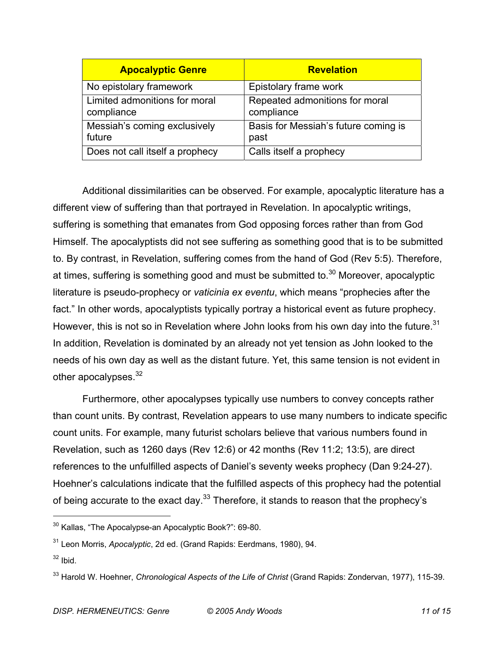| <b>Apocalyptic Genre</b>                    | <b>Revelation</b>                            |
|---------------------------------------------|----------------------------------------------|
| No epistolary framework                     | Epistolary frame work                        |
| Limited admonitions for moral<br>compliance | Repeated admonitions for moral<br>compliance |
| Messiah's coming exclusively<br>future      | Basis for Messiah's future coming is<br>past |
| Does not call itself a prophecy             | Calls itself a prophecy                      |

Additional dissimilarities can be observed. For example, apocalyptic literature has a different view of suffering than that portrayed in Revelation. In apocalyptic writings, suffering is something that emanates from God opposing forces rather than from God Himself. The apocalyptists did not see suffering as something good that is to be submitted to. By contrast, in Revelation, suffering comes from the hand of God (Rev 5:5). Therefore, at times, suffering is something good and must be submitted to.<sup>30</sup> Moreover, apocalyptic literature is pseudo-prophecy or *vaticinia ex eventu*, which means "prophecies after the fact." In other words, apocalyptists typically portray a historical event as future prophecy. However, this is not so in Revelation where John looks from his own day into the future.<sup>31</sup> In addition, Revelation is dominated by an already not yet tension as John looked to the needs of his own day as well as the distant future. Yet, this same tension is not evident in other apocalypses. $32$ 

Furthermore, other apocalypses typically use numbers to convey concepts rather than count units. By contrast, Revelation appears to use many numbers to indicate specific count units. For example, many futurist scholars believe that various numbers found in Revelation, such as 1260 days (Rev 12:6) or 42 months (Rev 11:2; 13:5), are direct references to the unfulfilled aspects of Daniel's seventy weeks prophecy (Dan 9:24-27). Hoehner's calculations indicate that the fulfilled aspects of this prophecy had the potential of being accurate to the exact day.<sup>33</sup> Therefore, it stands to reason that the prophecy's

<sup>&</sup>lt;sup>30</sup> Kallas, "The Apocalypse-an Apocalyptic Book?": 69-80.

<sup>31</sup> Leon Morris, *Apocalyptic*, 2d ed. (Grand Rapids: Eerdmans, 1980), 94.

 $32$  Ibid.

<sup>33</sup> Harold W. Hoehner, *Chronological Aspects of the Life of Christ* (Grand Rapids: Zondervan, 1977), 115-39.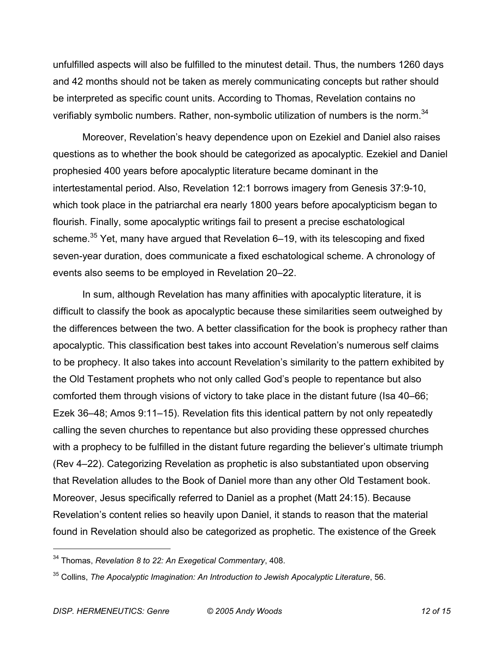unfulfilled aspects will also be fulfilled to the minutest detail. Thus, the numbers 1260 days and 42 months should not be taken as merely communicating concepts but rather should be interpreted as specific count units. According to Thomas, Revelation contains no verifiably symbolic numbers. Rather, non-symbolic utilization of numbers is the norm.<sup>34</sup>

Moreover, Revelation's heavy dependence upon on Ezekiel and Daniel also raises questions as to whether the book should be categorized as apocalyptic. Ezekiel and Daniel prophesied 400 years before apocalyptic literature became dominant in the intertestamental period. Also, Revelation 12:1 borrows imagery from Genesis 37:9-10, which took place in the patriarchal era nearly 1800 years before apocalypticism began to flourish. Finally, some apocalyptic writings fail to present a precise eschatological scheme.<sup>35</sup> Yet, many have argued that Revelation 6–19, with its telescoping and fixed seven-year duration, does communicate a fixed eschatological scheme. A chronology of events also seems to be employed in Revelation 20–22.

In sum, although Revelation has many affinities with apocalyptic literature, it is difficult to classify the book as apocalyptic because these similarities seem outweighed by the differences between the two. A better classification for the book is prophecy rather than apocalyptic. This classification best takes into account Revelation's numerous self claims to be prophecy. It also takes into account Revelation's similarity to the pattern exhibited by the Old Testament prophets who not only called God's people to repentance but also comforted them through visions of victory to take place in the distant future (Isa 40–66; Ezek 36–48; Amos 9:11–15). Revelation fits this identical pattern by not only repeatedly calling the seven churches to repentance but also providing these oppressed churches with a prophecy to be fulfilled in the distant future regarding the believer's ultimate triumph (Rev 4–22). Categorizing Revelation as prophetic is also substantiated upon observing that Revelation alludes to the Book of Daniel more than any other Old Testament book. Moreover, Jesus specifically referred to Daniel as a prophet (Matt 24:15). Because Revelation's content relies so heavily upon Daniel, it stands to reason that the material found in Revelation should also be categorized as prophetic. The existence of the Greek

<sup>34</sup> Thomas, *Revelation 8 to 22: An Exegetical Commentary*, 408.

<sup>35</sup> Collins, *The Apocalyptic Imagination: An Introduction to Jewish Apocalyptic Literature*, 56.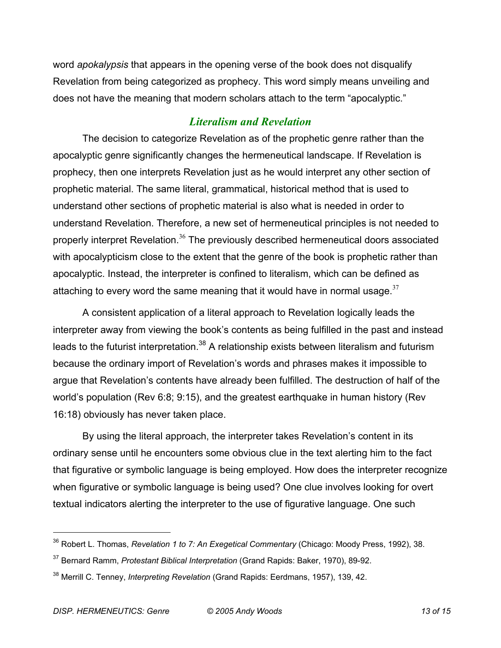word *apokalypsis* that appears in the opening verse of the book does not disqualify Revelation from being categorized as prophecy. This word simply means unveiling and does not have the meaning that modern scholars attach to the term "apocalyptic."

## *Literalism and Revelation*

The decision to categorize Revelation as of the prophetic genre rather than the apocalyptic genre significantly changes the hermeneutical landscape. If Revelation is prophecy, then one interprets Revelation just as he would interpret any other section of prophetic material. The same literal, grammatical, historical method that is used to understand other sections of prophetic material is also what is needed in order to understand Revelation. Therefore, a new set of hermeneutical principles is not needed to properly interpret Revelation.<sup>36</sup> The previously described hermeneutical doors associated with apocalypticism close to the extent that the genre of the book is prophetic rather than apocalyptic. Instead, the interpreter is confined to literalism, which can be defined as attaching to every word the same meaning that it would have in normal usage.  $37$ 

A consistent application of a literal approach to Revelation logically leads the interpreter away from viewing the book's contents as being fulfilled in the past and instead leads to the futurist interpretation.<sup>38</sup> A relationship exists between literalism and futurism because the ordinary import of Revelation's words and phrases makes it impossible to argue that Revelation's contents have already been fulfilled. The destruction of half of the world's population (Rev 6:8; 9:15), and the greatest earthquake in human history (Rev 16:18) obviously has never taken place.

By using the literal approach, the interpreter takes Revelation's content in its ordinary sense until he encounters some obvious clue in the text alerting him to the fact that figurative or symbolic language is being employed. How does the interpreter recognize when figurative or symbolic language is being used? One clue involves looking for overt textual indicators alerting the interpreter to the use of figurative language. One such

<sup>36</sup> Robert L. Thomas, *Revelation 1 to 7: An Exegetical Commentary* (Chicago: Moody Press, 1992), 38.

<sup>37</sup> Bernard Ramm, *Protestant Biblical Interpretation* (Grand Rapids: Baker, 1970), 89-92.

<sup>38</sup> Merrill C. Tenney, *Interpreting Revelation* (Grand Rapids: Eerdmans, 1957), 139, 42.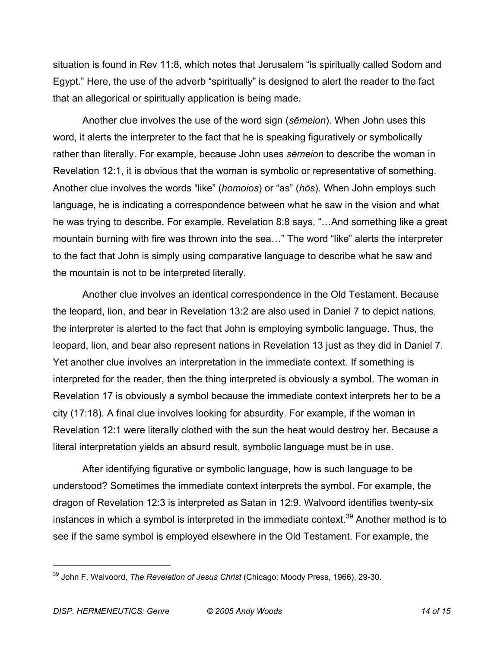situation is found in Rev 11:8, which notes that Jerusalem "is spiritually called Sodom and Egypt." Here, the use of the adverb "spiritually" is designed to alert the reader to the fact that an allegorical or spiritually application is being made.

Another clue involves the use of the word sign (*sēmeion*). When John uses this word, it alerts the interpreter to the fact that he is speaking figuratively or symbolically rather than literally. For example, because John uses *sēmeion* to describe the woman in Revelation 12:1, it is obvious that the woman is symbolic or representative of something. Another clue involves the words "like" (*homoios*) or "as" (*hōs*). When John employs such language, he is indicating a correspondence between what he saw in the vision and what he was trying to describe. For example, Revelation 8:8 says, "…And something like a great mountain burning with fire was thrown into the sea…" The word "like" alerts the interpreter to the fact that John is simply using comparative language to describe what he saw and the mountain is not to be interpreted literally.

Another clue involves an identical correspondence in the Old Testament. Because the leopard, lion, and bear in Revelation 13:2 are also used in Daniel 7 to depict nations, the interpreter is alerted to the fact that John is employing symbolic language. Thus, the leopard, lion, and bear also represent nations in Revelation 13 just as they did in Daniel 7. Yet another clue involves an interpretation in the immediate context. If something is interpreted for the reader, then the thing interpreted is obviously a symbol. The woman in Revelation 17 is obviously a symbol because the immediate context interprets her to be a city (17:18). A final clue involves looking for absurdity. For example, if the woman in Revelation 12:1 were literally clothed with the sun the heat would destroy her. Because a literal interpretation yields an absurd result, symbolic language must be in use.

After identifying figurative or symbolic language, how is such language to be understood? Sometimes the immediate context interprets the symbol. For example, the dragon of Revelation 12:3 is interpreted as Satan in 12:9. Walvoord identifies twenty-six instances in which a symbol is interpreted in the immediate context.<sup>39</sup> Another method is to see if the same symbol is employed elsewhere in the Old Testament. For example, the

<sup>39</sup> John F. Walvoord, *The Revelation of Jesus Christ* (Chicago: Moody Press, 1966), 29-30.